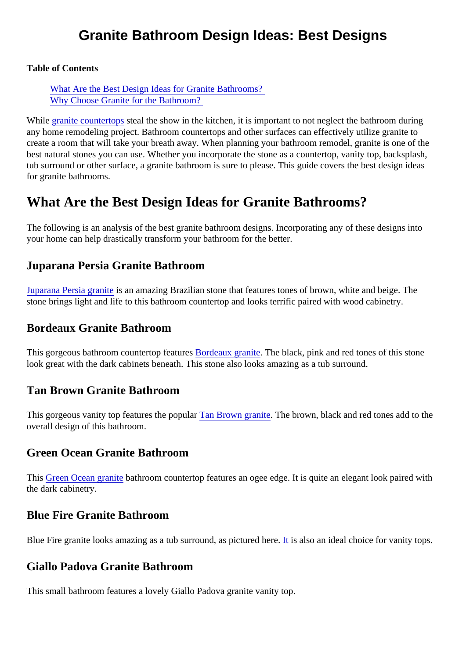# Granite Bathroom Design Ideas: Best Designs

Table of Contents

What Are the Best Design Ideas for Granite Bathrooms? [Why Choose Granite for the Bathroom](#page-2-0)?

While [granite countertop](https://marble.com/granite-countertops)stealthe show in the kitchen, it is important to not neglect the bathroom during any home remodeling project. Bathroom countertops and other surfaces can effectively utilize granite to create a room that will take your breath away. When planning your bathroom remodel, granite is one of the best natural stones you can use. Whether you incorporate the stone as a countertop, vanity top, backsplas tub surround or other surface, a granite bathroom is sure to please. This guide covers the best design idea for granite bathrooms.

# What Are the Best Design Ideas for Granite Bathrooms?

The following is an analysis of the best granite bathroom designs. Incorporating any of these designs into your home can help drastically transform your bathroom for the better.

#### Juparana Persia Granite Bathroom

[Juparana Persia gran](https://marble.com/granite-countertops/juparana-persia/338)ite an amazing Brazilian stone that features tones of brown, white and beige. The stone brings light and life to this bathroom countertop and looks terrific paired with wood cabinetry.

#### Bordeaux Granite Bathroom

This gorgeous bathroom countertop feat **Bordeaux** granite[.](https://marble.com/granite-countertops/bordeaux/922) The black, pink and red tones of this stone look great with the dark cabinets beneath. This stone also looks amazing as a tub surround.

## Tan Brown Granite Bathroom

This gorgeous vanity top features the popular Brown graniteThe brown, black and red tones add to the overall design of this bathroom.

#### Green Ocean Granite Bathroom

This [Green Ocean grani](https://marble.com/granite-countertops/green-ocean/570)teathroom countertop features an ogee edge. It is quite an elegant look paired with the dark cabinetry.

#### Blue Fire Granite Bathroom

Blue Fire granite looks amazing as a tub surround, as pictured therelso an ideal choice for vanity tops.

## Giallo Padova Granite Bathroom

This small bathroom features a lovely Giallo Padova granite vanity top.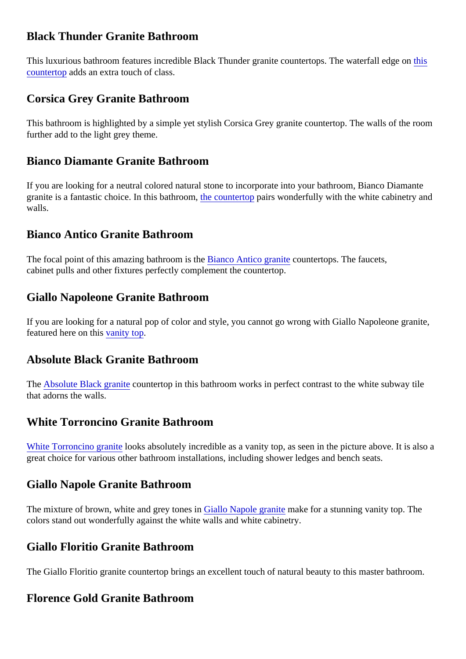## Black Thunder Granite Bathroom

This luxurious bathroom features incredible Black Thunder granite countertops. The waterfall trospe on [countertop](https://marble.com/granite-countertops/black-thunder/83)adds an extra touch of class.

## Corsica Grey Granite Bathroom

This bathroom is highlighted by a simple yet stylish Corsica Grey granite countertop. The walls of the room further add to the light grey theme.

## Bianco Diamante Granite Bathroom

If you are looking for a neutral colored natural stone to incorporate into your bathroom, Bianco Diamante graniteis a fantastic choice. In this bathrod one, countertop pairs wonderfully with the white cabinetry and walls.

## Bianco Antico Granite Bathroom

Thefocal point of this amazing bathroom is **Bianco** Antico granit countertops. The faucets, cabinet pulls and other fixtures perfectly complement the countertop.

#### Giallo Napoleone Granite Bathroom

If you are looking for a natural pop of color and style, you cannot go wrong with Giallo Napoleone granite, featured here on this anity top.

#### Absolute Black Granite Bathroom

The [Absolute Black granit](https://marble.com/granite-countertops/absolute-black/151) **countertop in this bathroom works in perfect contrast to the white subway tile** that adorns the walls.

## White Torroncino Granite Bathroom

[White Torroncino granit](https://marble.com/granite-countertops/white-torroncino/475)boks absolutely incredible as a vanity top, as seen in the picture above. It is also a great choice for various other bathroom installations, including shower ledges and bench seats.

#### Giallo Napole Granite Bathroom

Themixture of brown, white and grey tone Giallo Napole granite make for a stunning vanity top. The colors stand out wonderfully against the white walls and white cabinetry.

#### Giallo Floritio Granite Bathroom

The Giallo Floritio granite countertop brings an excellent touch of natural beauty to this master bathroom.

## Florence Gold Granite Bathroom